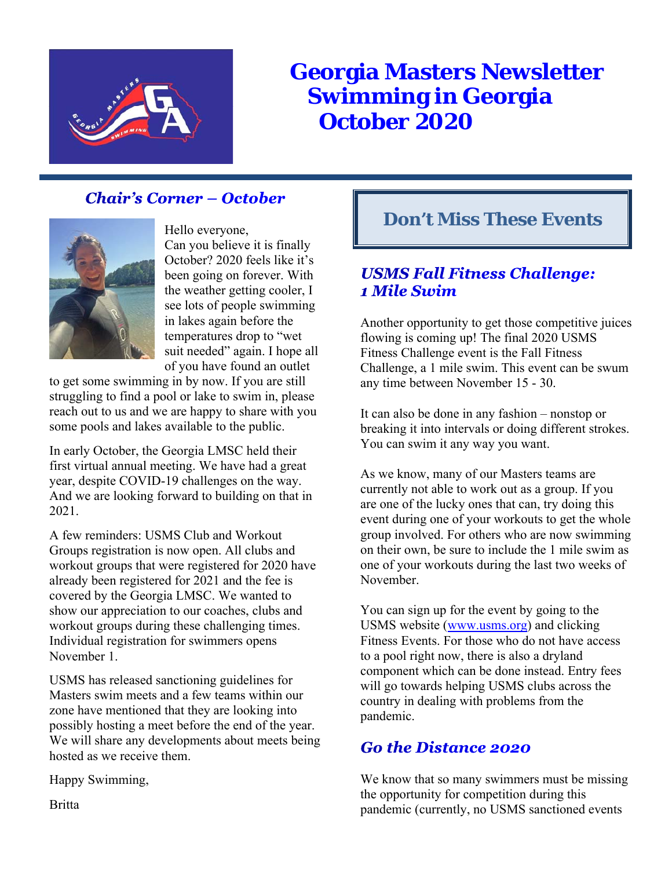

# **Georgia Masters Newsletter Swimming in Georgia October 2020**

## **Chair's Corner – October**



Hello everyone, Can you believe it is finally October? 2020 feels like it's been going on forever. With the weather getting cooler, I see lots of people swimming in lakes again before the temperatures drop to "wet suit needed" again. I hope all of you have found an outlet

to get some swimming in by now. If you are still struggling to find a pool or lake to swim in, please reach out to us and we are happy to share with you some pools and lakes available to the public.

In early October, the Georgia LMSC held their first virtual annual meeting. We have had a great year, despite COVID-19 challenges on the way. And we are looking forward to building on that in 2021.

A few reminders: USMS Club and Workout Groups registration is now open. All clubs and workout groups that were registered for 2020 have already been registered for 2021 and the fee is covered by the Georgia LMSC. We wanted to show our appreciation to our coaches, clubs and workout groups during these challenging times. Individual registration for swimmers opens November 1.

USMS has released sanctioning guidelines for Masters swim meets and a few teams within our zone have mentioned that they are looking into possibly hosting a meet before the end of the year. We will share any developments about meets being hosted as we receive them.

Happy Swimming,

## **Don't Miss These Events**

### **USMS Fall Fitness Challenge:** 1 Mile Swim

Another opportunity to get those competitive juices flowing is coming up! The final 2020 USMS Fitness Challenge event is the Fall Fitness Challenge, a 1 mile swim. This event can be swum any time between November 15 - 30.

It can also be done in any fashion – nonstop or breaking it into intervals or doing different strokes. You can swim it any way you want.

As we know, many of our Masters teams are currently not able to work out as a group. If you are one of the lucky ones that can, try doing this event during one of your workouts to get the whole group involved. For others who are now swimming on their own, be sure to include the 1 mile swim as one of your workouts during the last two weeks of November.

You can sign up for the event by going to the USMS website (www.usms.org) and clicking Fitness Events. For those who do not have access to a pool right now, there is also a dryland component which can be done instead. Entry fees will go towards helping USMS clubs across the country in dealing with problems from the pandemic.

### **Go the Distance 2020**

We know that so many swimmers must be missing the opportunity for competition during this pandemic (currently, no USMS sanctioned events

**Britta**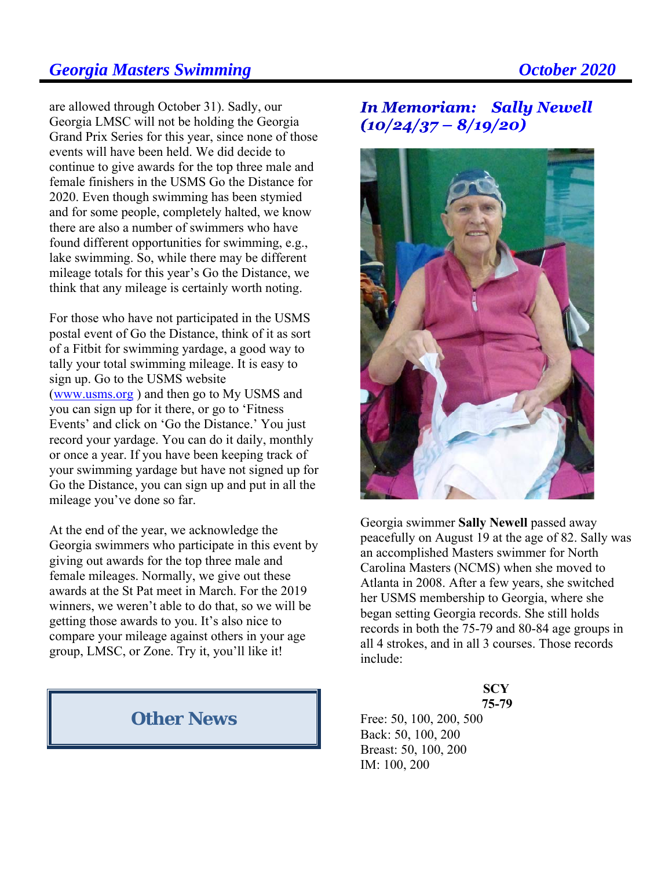are allowed through October 31). Sadly, our Georgia LMSC will not be holding the Georgia Grand Prix Series for this year, since none of those events will have been held. We did decide to continue to give awards for the top three male and female finishers in the USMS Go the Distance for 2020. Even though swimming has been stymied and for some people, completely halted, we know there are also a number of swimmers who have found different opportunities for swimming, e.g., lake swimming. So, while there may be different mileage totals for this year's Go the Distance, we think that any mileage is certainly worth noting.

For those who have not participated in the USMS postal event of Go the Distance, think of it as sort of a Fitbit for swimming yardage, a good way to tally your total swimming mileage. It is easy to sign up. Go to the USMS website (www.usms.org ) and then go to My USMS and you can sign up for it there, or go to 'Fitness Events' and click on 'Go the Distance.' You just record your yardage. You can do it daily, monthly or once a year. If you have been keeping track of your swimming yardage but have not signed up for Go the Distance, you can sign up and put in all the mileage you've done so far.

At the end of the year, we acknowledge the Georgia swimmers who participate in this event by giving out awards for the top three male and female mileages. Normally, we give out these awards at the St Pat meet in March. For the 2019 winners, we weren't able to do that, so we will be getting those awards to you. It's also nice to compare your mileage against others in your age group, LMSC, or Zone. Try it, you'll like it!

### **Other News**

**In Memoriam: Sally Newell**  $(10/24/37 - 8/19/20)$ 



Georgia swimmer **Sally Newell** passed away peacefully on August 19 at the age of 82. Sally was an accomplished Masters swimmer for North Carolina Masters (NCMS) when she moved to Atlanta in 2008. After a few years, she switched her USMS membership to Georgia, where she began setting Georgia records. She still holds records in both the 75-79 and 80-84 age groups in all 4 strokes, and in all 3 courses. Those records include:

### **SCY 75-79**

Free: 50, 100, 200, 500 Back: 50, 100, 200 Breast: 50, 100, 200 IM: 100, 200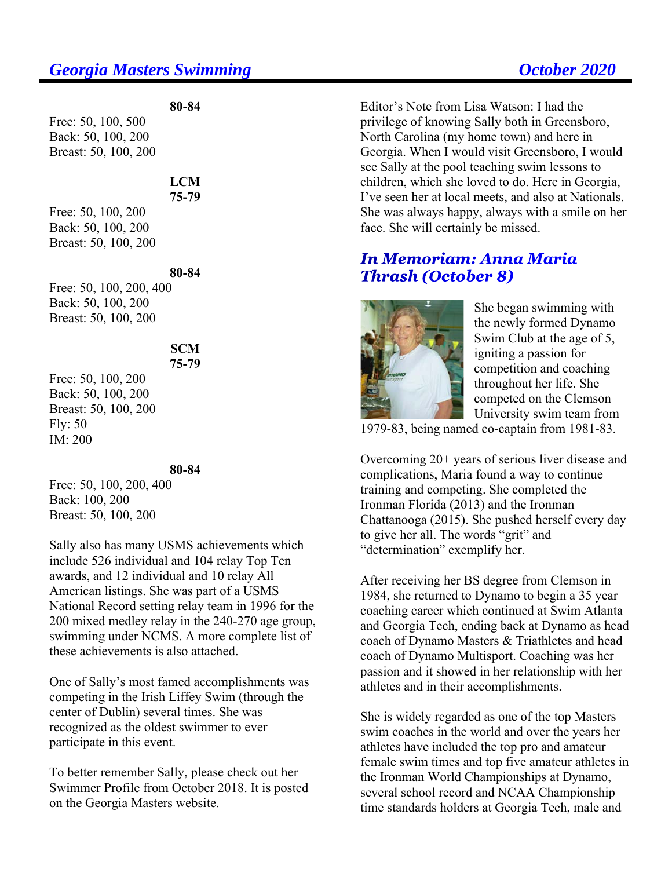Free: 50, 100, 500 Back: 50, 100, 200 Breast: 50, 100, 200

### **LCM 75-79**

**80-84** 

Free: 50, 100, 200 Back: 50, 100, 200 Breast: 50, 100, 200

### **80-84**

Free: 50, 100, 200, 400 Back: 50, 100, 200 Breast: 50, 100, 200

### **SCM 75-79**

Free: 50, 100, 200 Back: 50, 100, 200 Breast: 50, 100, 200 Fly: 50 IM: 200

### **80-84**

Free: 50, 100, 200, 400 Back: 100, 200 Breast: 50, 100, 200

Sally also has many USMS achievements which include 526 individual and 104 relay Top Ten awards, and 12 individual and 10 relay All American listings. She was part of a USMS National Record setting relay team in 1996 for the 200 mixed medley relay in the 240-270 age group, swimming under NCMS. A more complete list of these achievements is also attached.

One of Sally's most famed accomplishments was competing in the Irish Liffey Swim (through the center of Dublin) several times. She was recognized as the oldest swimmer to ever participate in this event.

To better remember Sally, please check out her Swimmer Profile from October 2018. It is posted on the Georgia Masters website.

Editor's Note from Lisa Watson: I had the privilege of knowing Sally both in Greensboro, North Carolina (my home town) and here in Georgia. When I would visit Greensboro, I would see Sally at the pool teaching swim lessons to children, which she loved to do. Here in Georgia, I've seen her at local meets, and also at Nationals. She was always happy, always with a smile on her face. She will certainly be missed.

### **In Memoriam: Anna Maria Thrash (October 8)**



She began swimming with the newly formed Dynamo Swim Club at the age of 5, igniting a passion for competition and coaching throughout her life. She competed on the Clemson University swim team from

1979-83, being named co-captain from 1981-83.

Overcoming 20+ years of serious liver disease and complications, Maria found a way to continue training and competing. She completed the Ironman Florida (2013) and the Ironman Chattanooga (2015). She pushed herself every day to give her all. The words "grit" and "determination" exemplify her.

After receiving her BS degree from Clemson in 1984, she returned to Dynamo to begin a 35 year coaching career which continued at Swim Atlanta and Georgia Tech, ending back at Dynamo as head coach of Dynamo Masters & Triathletes and head coach of Dynamo Multisport. Coaching was her passion and it showed in her relationship with her athletes and in their accomplishments.

She is widely regarded as one of the top Masters swim coaches in the world and over the years her athletes have included the top pro and amateur female swim times and top five amateur athletes in the Ironman World Championships at Dynamo, several school record and NCAA Championship time standards holders at Georgia Tech, male and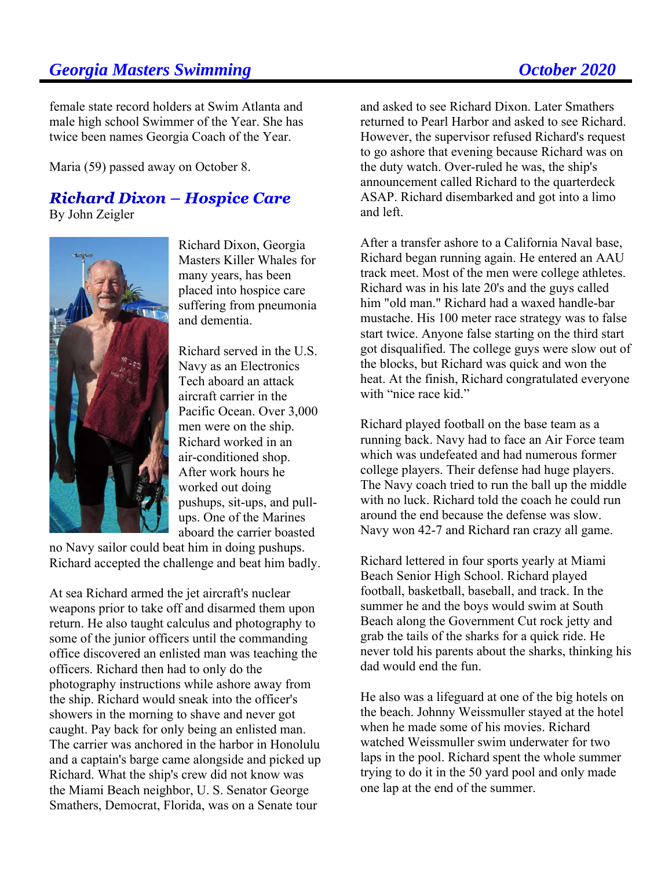female state record holders at Swim Atlanta and male high school Swimmer of the Year. She has twice been names Georgia Coach of the Year.

Maria (59) passed away on October 8.

### **Richard Dixon – Hospice Care** By John Zeigler



Richard Dixon, Georgia Masters Killer Whales for many years, has been placed into hospice care suffering from pneumonia and dementia.

Richard served in the U.S. Navy as an Electronics Tech aboard an attack aircraft carrier in the Pacific Ocean. Over 3,000 men were on the ship. Richard worked in an air-conditioned shop. After work hours he worked out doing pushups, sit-ups, and pullups. One of the Marines aboard the carrier boasted

no Navy sailor could beat him in doing pushups. Richard accepted the challenge and beat him badly.

At sea Richard armed the jet aircraft's nuclear weapons prior to take off and disarmed them upon return. He also taught calculus and photography to some of the junior officers until the commanding office discovered an enlisted man was teaching the officers. Richard then had to only do the photography instructions while ashore away from the ship. Richard would sneak into the officer's showers in the morning to shave and never got caught. Pay back for only being an enlisted man. The carrier was anchored in the harbor in Honolulu and a captain's barge came alongside and picked up Richard. What the ship's crew did not know was the Miami Beach neighbor, U. S. Senator George Smathers, Democrat, Florida, was on a Senate tour

and asked to see Richard Dixon. Later Smathers returned to Pearl Harbor and asked to see Richard. However, the supervisor refused Richard's request to go ashore that evening because Richard was on the duty watch. Over-ruled he was, the ship's announcement called Richard to the quarterdeck ASAP. Richard disembarked and got into a limo and left.

After a transfer ashore to a California Naval base, Richard began running again. He entered an AAU track meet. Most of the men were college athletes. Richard was in his late 20's and the guys called him "old man." Richard had a waxed handle-bar mustache. His 100 meter race strategy was to false start twice. Anyone false starting on the third start got disqualified. The college guys were slow out of the blocks, but Richard was quick and won the heat. At the finish, Richard congratulated everyone with "nice race kid."

Richard played football on the base team as a running back. Navy had to face an Air Force team which was undefeated and had numerous former college players. Their defense had huge players. The Navy coach tried to run the ball up the middle with no luck. Richard told the coach he could run around the end because the defense was slow. Navy won 42-7 and Richard ran crazy all game.

Richard lettered in four sports yearly at Miami Beach Senior High School. Richard played football, basketball, baseball, and track. In the summer he and the boys would swim at South Beach along the Government Cut rock jetty and grab the tails of the sharks for a quick ride. He never told his parents about the sharks, thinking his dad would end the fun.

He also was a lifeguard at one of the big hotels on the beach. Johnny Weissmuller stayed at the hotel when he made some of his movies. Richard watched Weissmuller swim underwater for two laps in the pool. Richard spent the whole summer trying to do it in the 50 yard pool and only made one lap at the end of the summer.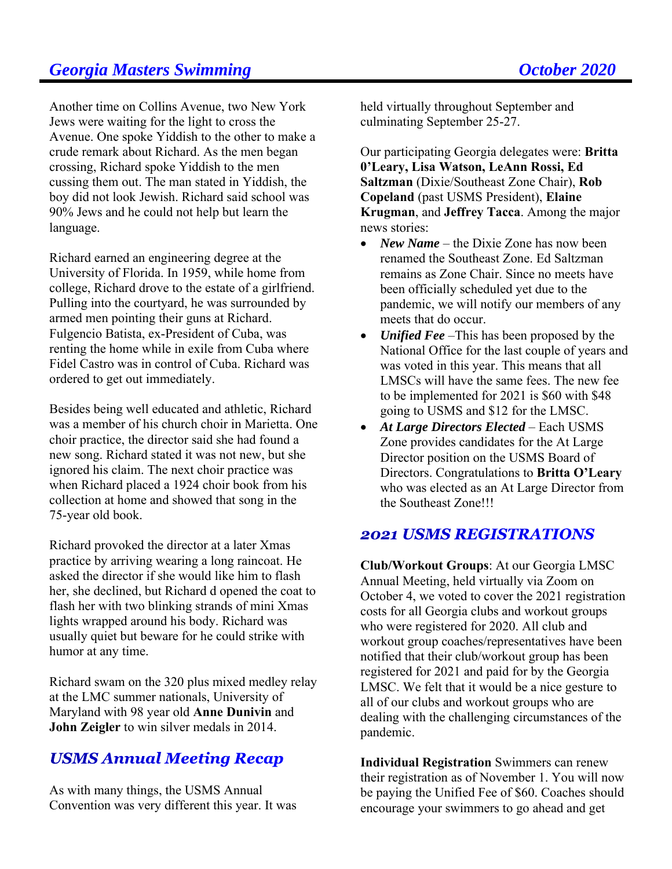Another time on Collins Avenue, two New York Jews were waiting for the light to cross the Avenue. One spoke Yiddish to the other to make a crude remark about Richard. As the men began crossing, Richard spoke Yiddish to the men cussing them out. The man stated in Yiddish, the boy did not look Jewish. Richard said school was 90% Jews and he could not help but learn the language.

Richard earned an engineering degree at the University of Florida. In 1959, while home from college, Richard drove to the estate of a girlfriend. Pulling into the courtyard, he was surrounded by armed men pointing their guns at Richard. Fulgencio Batista, ex-President of Cuba, was renting the home while in exile from Cuba where Fidel Castro was in control of Cuba. Richard was ordered to get out immediately.

Besides being well educated and athletic, Richard was a member of his church choir in Marietta. One choir practice, the director said she had found a new song. Richard stated it was not new, but she ignored his claim. The next choir practice was when Richard placed a 1924 choir book from his collection at home and showed that song in the 75-year old book.

Richard provoked the director at a later Xmas practice by arriving wearing a long raincoat. He asked the director if she would like him to flash her, she declined, but Richard d opened the coat to flash her with two blinking strands of mini Xmas lights wrapped around his body. Richard was usually quiet but beware for he could strike with humor at any time.

Richard swam on the 320 plus mixed medley relay at the LMC summer nationals, University of Maryland with 98 year old **Anne Dunivin** and **John Zeigler** to win silver medals in 2014.

## **USMS Annual Meeting Recap**

As with many things, the USMS Annual Convention was very different this year. It was held virtually throughout September and culminating September 25-27.

Our participating Georgia delegates were: **Britta 0'Leary, Lisa Watson, LeAnn Rossi, Ed Saltzman** (Dixie/Southeast Zone Chair), **Rob Copeland** (past USMS President), **Elaine Krugman**, and **Jeffrey Tacca**. Among the major news stories:

- *New Name* the Dixie Zone has now been renamed the Southeast Zone. Ed Saltzman remains as Zone Chair. Since no meets have been officially scheduled yet due to the pandemic, we will notify our members of any meets that do occur.
- *Unified Fee* –This has been proposed by the National Office for the last couple of years and was voted in this year. This means that all LMSCs will have the same fees. The new fee to be implemented for 2021 is \$60 with \$48 going to USMS and \$12 for the LMSC.
- *At Large Directors Elected* Each USMS Zone provides candidates for the At Large Director position on the USMS Board of Directors. Congratulations to **Britta O'Leary** who was elected as an At Large Director from the Southeast Zone!!!

### **2021 USMS REGISTRATIONS**

**Club/Workout Groups**: At our Georgia LMSC Annual Meeting, held virtually via Zoom on October 4, we voted to cover the 2021 registration costs for all Georgia clubs and workout groups who were registered for 2020. All club and workout group coaches/representatives have been notified that their club/workout group has been registered for 2021 and paid for by the Georgia LMSC. We felt that it would be a nice gesture to all of our clubs and workout groups who are dealing with the challenging circumstances of the pandemic.

**Individual Registration** Swimmers can renew their registration as of November 1. You will now be paying the Unified Fee of \$60. Coaches should encourage your swimmers to go ahead and get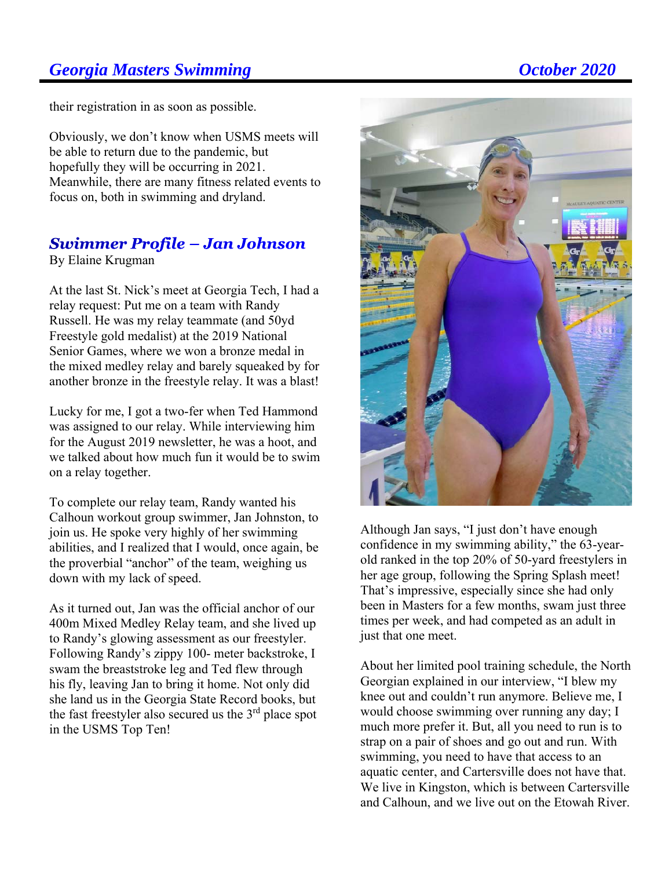their registration in as soon as possible.

Obviously, we don't know when USMS meets will be able to return due to the pandemic, but hopefully they will be occurring in 2021. Meanwhile, there are many fitness related events to focus on, both in swimming and dryland.

## **Swimmer Profile - Jan Johnson**

By Elaine Krugman

At the last St. Nick's meet at Georgia Tech, I had a relay request: Put me on a team with Randy Russell. He was my relay teammate (and 50yd Freestyle gold medalist) at the 2019 National Senior Games, where we won a bronze medal in the mixed medley relay and barely squeaked by for another bronze in the freestyle relay. It was a blast!

Lucky for me, I got a two-fer when Ted Hammond was assigned to our relay. While interviewing him for the August 2019 newsletter, he was a hoot, and we talked about how much fun it would be to swim on a relay together.

To complete our relay team, Randy wanted his Calhoun workout group swimmer, Jan Johnston, to join us. He spoke very highly of her swimming abilities, and I realized that I would, once again, be the proverbial "anchor" of the team, weighing us down with my lack of speed.

As it turned out, Jan was the official anchor of our 400m Mixed Medley Relay team, and she lived up to Randy's glowing assessment as our freestyler. Following Randy's zippy 100- meter backstroke, I swam the breaststroke leg and Ted flew through his fly, leaving Jan to bring it home. Not only did she land us in the Georgia State Record books, but the fast freestyler also secured us the 3<sup>rd</sup> place spot in the USMS Top Ten!





Although Jan says, "I just don't have enough confidence in my swimming ability," the 63-yearold ranked in the top 20% of 50-yard freestylers in her age group, following the Spring Splash meet! That's impressive, especially since she had only been in Masters for a few months, swam just three times per week, and had competed as an adult in just that one meet.

About her limited pool training schedule, the North Georgian explained in our interview, "I blew my knee out and couldn't run anymore. Believe me, I would choose swimming over running any day; I much more prefer it. But, all you need to run is to strap on a pair of shoes and go out and run. With swimming, you need to have that access to an aquatic center, and Cartersville does not have that. We live in Kingston, which is between Cartersville and Calhoun, and we live out on the Etowah River.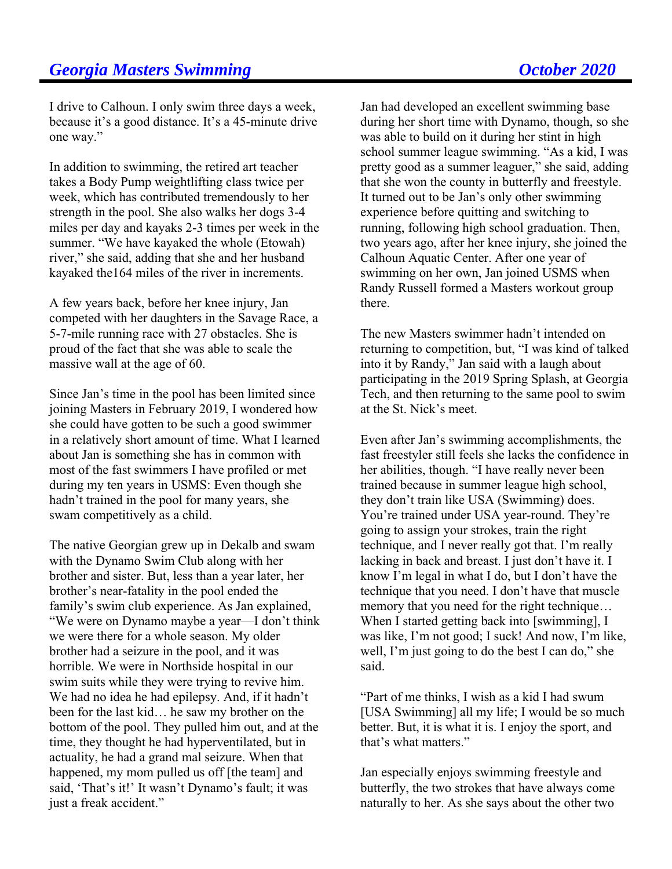I drive to Calhoun. I only swim three days a week, because it's a good distance. It's a 45-minute drive one way."

In addition to swimming, the retired art teacher takes a Body Pump weightlifting class twice per week, which has contributed tremendously to her strength in the pool. She also walks her dogs 3-4 miles per day and kayaks 2-3 times per week in the summer. "We have kayaked the whole (Etowah) river," she said, adding that she and her husband kayaked the164 miles of the river in increments.

A few years back, before her knee injury, Jan competed with her daughters in the Savage Race, a 5-7-mile running race with 27 obstacles. She is proud of the fact that she was able to scale the massive wall at the age of 60.

Since Jan's time in the pool has been limited since joining Masters in February 2019, I wondered how she could have gotten to be such a good swimmer in a relatively short amount of time. What I learned about Jan is something she has in common with most of the fast swimmers I have profiled or met during my ten years in USMS: Even though she hadn't trained in the pool for many years, she swam competitively as a child.

The native Georgian grew up in Dekalb and swam with the Dynamo Swim Club along with her brother and sister. But, less than a year later, her brother's near-fatality in the pool ended the family's swim club experience. As Jan explained, "We were on Dynamo maybe a year—I don't think we were there for a whole season. My older brother had a seizure in the pool, and it was horrible. We were in Northside hospital in our swim suits while they were trying to revive him. We had no idea he had epilepsy. And, if it hadn't been for the last kid… he saw my brother on the bottom of the pool. They pulled him out, and at the time, they thought he had hyperventilated, but in actuality, he had a grand mal seizure. When that happened, my mom pulled us off [the team] and said, 'That's it!' It wasn't Dynamo's fault; it was just a freak accident."

Jan had developed an excellent swimming base during her short time with Dynamo, though, so she was able to build on it during her stint in high school summer league swimming. "As a kid, I was pretty good as a summer leaguer," she said, adding that she won the county in butterfly and freestyle. It turned out to be Jan's only other swimming experience before quitting and switching to running, following high school graduation. Then, two years ago, after her knee injury, she joined the Calhoun Aquatic Center. After one year of swimming on her own, Jan joined USMS when Randy Russell formed a Masters workout group there.

The new Masters swimmer hadn't intended on returning to competition, but, "I was kind of talked into it by Randy," Jan said with a laugh about participating in the 2019 Spring Splash, at Georgia Tech, and then returning to the same pool to swim at the St. Nick's meet.

Even after Jan's swimming accomplishments, the fast freestyler still feels she lacks the confidence in her abilities, though. "I have really never been trained because in summer league high school, they don't train like USA (Swimming) does. You're trained under USA year-round. They're going to assign your strokes, train the right technique, and I never really got that. I'm really lacking in back and breast. I just don't have it. I know I'm legal in what I do, but I don't have the technique that you need. I don't have that muscle memory that you need for the right technique… When I started getting back into [swimming], I was like, I'm not good; I suck! And now, I'm like, well, I'm just going to do the best I can do," she said.

"Part of me thinks, I wish as a kid I had swum [USA Swimming] all my life; I would be so much better. But, it is what it is. I enjoy the sport, and that's what matters."

Jan especially enjoys swimming freestyle and butterfly, the two strokes that have always come naturally to her. As she says about the other two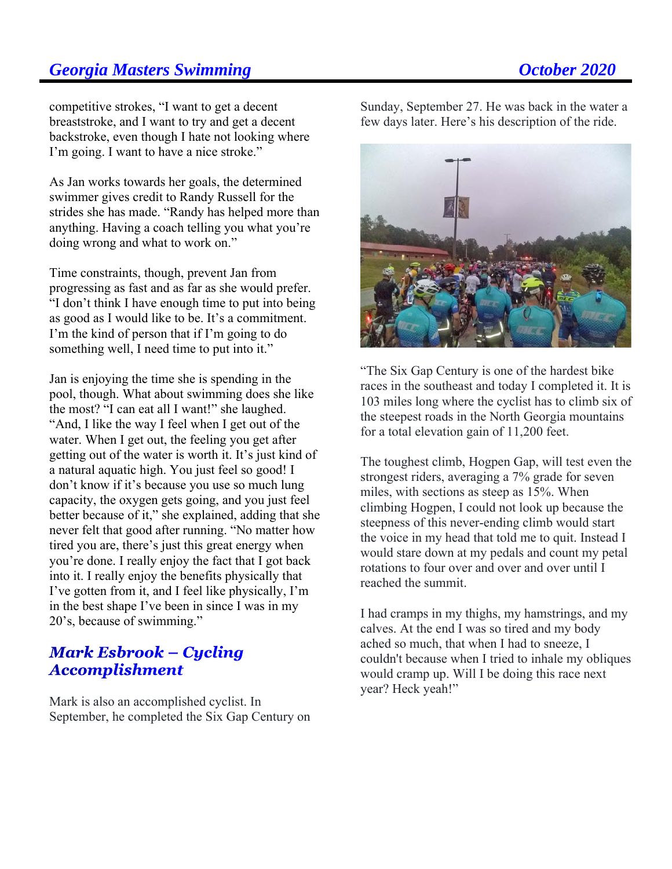competitive strokes, "I want to get a decent breaststroke, and I want to try and get a decent backstroke, even though I hate not looking where I'm going. I want to have a nice stroke."

As Jan works towards her goals, the determined swimmer gives credit to Randy Russell for the strides she has made. "Randy has helped more than anything. Having a coach telling you what you're doing wrong and what to work on."

Time constraints, though, prevent Jan from progressing as fast and as far as she would prefer. "I don't think I have enough time to put into being as good as I would like to be. It's a commitment. I'm the kind of person that if I'm going to do something well, I need time to put into it."

Jan is enjoying the time she is spending in the pool, though. What about swimming does she like the most? "I can eat all I want!" she laughed. "And, I like the way I feel when I get out of the water. When I get out, the feeling you get after getting out of the water is worth it. It's just kind of a natural aquatic high. You just feel so good! I don't know if it's because you use so much lung capacity, the oxygen gets going, and you just feel better because of it," she explained, adding that she never felt that good after running. "No matter how tired you are, there's just this great energy when you're done. I really enjoy the fact that I got back into it. I really enjoy the benefits physically that I've gotten from it, and I feel like physically, I'm in the best shape I've been in since I was in my 20's, because of swimming."

### **Mark Esbrook – Cycling Accomplishment**

Mark is also an accomplished cyclist. In September, he completed the Six Gap Century on Sunday, September 27. He was back in the water a few days later. Here's his description of the ride.



"The Six Gap Century is one of the hardest bike races in the southeast and today I completed it. It is 103 miles long where the cyclist has to climb six of the steepest roads in the North Georgia mountains for a total elevation gain of 11,200 feet.

The toughest climb, Hogpen Gap, will test even the strongest riders, averaging a 7% grade for seven miles, with sections as steep as 15%. When climbing Hogpen, I could not look up because the steepness of this never-ending climb would start the voice in my head that told me to quit. Instead I would stare down at my pedals and count my petal rotations to four over and over and over until I reached the summit.

I had cramps in my thighs, my hamstrings, and my calves. At the end I was so tired and my body ached so much, that when I had to sneeze, I couldn't because when I tried to inhale my obliques would cramp up. Will I be doing this race next year? Heck yeah!"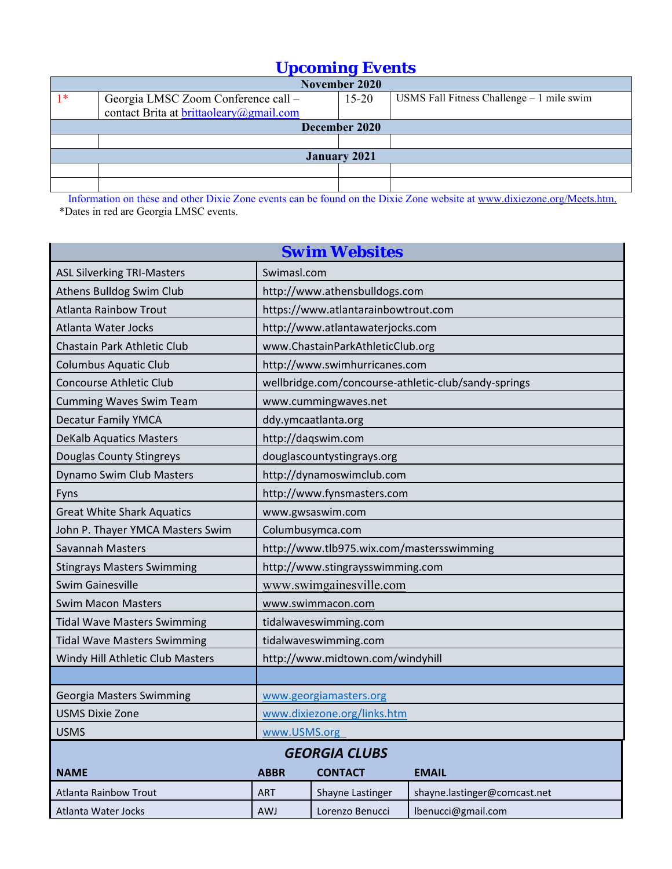# *Upcoming Events*

| November 2020       |                                         |           |                                            |  |  |
|---------------------|-----------------------------------------|-----------|--------------------------------------------|--|--|
| $1*$                | Georgia LMSC Zoom Conference call -     | $15 - 20$ | USMS Fall Fitness Challenge $-1$ mile swim |  |  |
|                     | contact Brita at brittaoleary@gmail.com |           |                                            |  |  |
| December 2020       |                                         |           |                                            |  |  |
|                     |                                         |           |                                            |  |  |
| <b>January 2021</b> |                                         |           |                                            |  |  |
|                     |                                         |           |                                            |  |  |
|                     |                                         |           |                                            |  |  |

 Information on these and other Dixie Zone events can be found on the Dixie Zone website at www.dixiezone.org/Meets.htm. \*Dates in red are Georgia LMSC events.

| <b>Swim Websites</b>                                         |                                           |                                     |                                                      |  |  |
|--------------------------------------------------------------|-------------------------------------------|-------------------------------------|------------------------------------------------------|--|--|
| <b>ASL Silverking TRI-Masters</b>                            | Swimasl.com                               |                                     |                                                      |  |  |
| Athens Bulldog Swim Club                                     |                                           | http://www.athensbulldogs.com       |                                                      |  |  |
| <b>Atlanta Rainbow Trout</b>                                 |                                           | https://www.atlantarainbowtrout.com |                                                      |  |  |
| Atlanta Water Jocks                                          |                                           | http://www.atlantawaterjocks.com    |                                                      |  |  |
| Chastain Park Athletic Club                                  |                                           | www.ChastainParkAthleticClub.org    |                                                      |  |  |
| <b>Columbus Aquatic Club</b>                                 |                                           | http://www.swimhurricanes.com       |                                                      |  |  |
| <b>Concourse Athletic Club</b>                               |                                           |                                     | wellbridge.com/concourse-athletic-club/sandy-springs |  |  |
| <b>Cumming Waves Swim Team</b>                               |                                           | www.cummingwaves.net                |                                                      |  |  |
| <b>Decatur Family YMCA</b>                                   |                                           | ddy.ymcaatlanta.org                 |                                                      |  |  |
| <b>DeKalb Aquatics Masters</b>                               | http://daqswim.com                        |                                     |                                                      |  |  |
| Douglas County Stingreys                                     | douglascountystingrays.org                |                                     |                                                      |  |  |
| Dynamo Swim Club Masters                                     | http://dynamoswimclub.com                 |                                     |                                                      |  |  |
| Fyns                                                         | http://www.fynsmasters.com                |                                     |                                                      |  |  |
| <b>Great White Shark Aquatics</b>                            | www.gwsaswim.com                          |                                     |                                                      |  |  |
| John P. Thayer YMCA Masters Swim                             | Columbusymca.com                          |                                     |                                                      |  |  |
| Savannah Masters                                             | http://www.tlb975.wix.com/mastersswimming |                                     |                                                      |  |  |
| <b>Stingrays Masters Swimming</b>                            | http://www.stingraysswimming.com          |                                     |                                                      |  |  |
| www.swimgainesville.com<br><b>Swim Gainesville</b>           |                                           |                                     |                                                      |  |  |
| <b>Swim Macon Masters</b>                                    |                                           | www.swimmacon.com                   |                                                      |  |  |
| <b>Tidal Wave Masters Swimming</b>                           |                                           | tidalwaveswimming.com               |                                                      |  |  |
| <b>Tidal Wave Masters Swimming</b>                           |                                           | tidalwaveswimming.com               |                                                      |  |  |
| Windy Hill Athletic Club Masters                             | http://www.midtown.com/windyhill          |                                     |                                                      |  |  |
|                                                              |                                           |                                     |                                                      |  |  |
| Georgia Masters Swimming                                     | www.georgiamasters.org                    |                                     |                                                      |  |  |
| USMS Dixie Zone                                              | www.dixiezone.org/links.htm               |                                     |                                                      |  |  |
| <b>USMS</b><br>www.USMS.org                                  |                                           |                                     |                                                      |  |  |
| <b>GEORGIA CLUBS</b>                                         |                                           |                                     |                                                      |  |  |
| <b>CONTACT</b><br><b>NAME</b><br><b>ABBR</b><br><b>EMAIL</b> |                                           |                                     |                                                      |  |  |
| <b>Atlanta Rainbow Trout</b>                                 | <b>ART</b>                                | Shayne Lastinger                    | shayne.lastinger@comcast.net                         |  |  |
| Atlanta Water Jocks                                          | <b>AWJ</b>                                | Lorenzo Benucci                     | lbenucci@gmail.com                                   |  |  |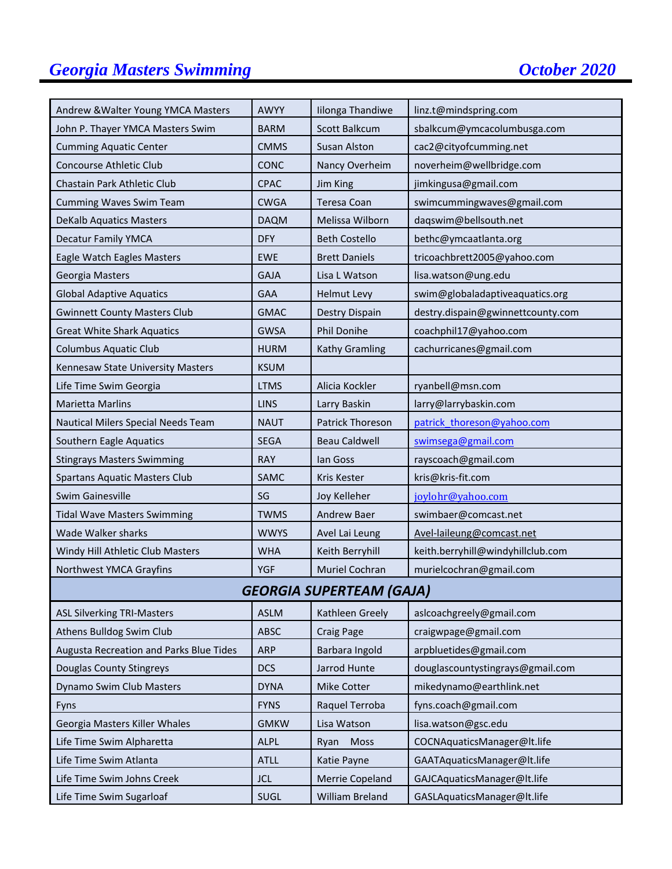# **Georgia Masters Swimming Construction Construction Construction Construction Construction Construction Construction Construction Construction Construction Construction Construction Construction Construction Construction C**

| Andrew & Walter Young YMCA Masters      | AWYY        | Iilonga Thandiwe        | linz.t@mindspring.com             |  |  |
|-----------------------------------------|-------------|-------------------------|-----------------------------------|--|--|
| John P. Thayer YMCA Masters Swim        | <b>BARM</b> | Scott Balkcum           | sbalkcum@ymcacolumbusga.com       |  |  |
| <b>Cumming Aquatic Center</b>           | <b>CMMS</b> | <b>Susan Alston</b>     | cac2@cityofcumming.net            |  |  |
| <b>Concourse Athletic Club</b>          | CONC        | Nancy Overheim          | noverheim@wellbridge.com          |  |  |
| Chastain Park Athletic Club             | <b>CPAC</b> | Jim King                | jimkingusa@gmail.com              |  |  |
| Cumming Waves Swim Team                 | <b>CWGA</b> | Teresa Coan             | swimcummingwaves@gmail.com        |  |  |
| <b>DeKalb Aquatics Masters</b>          | <b>DAQM</b> | Melissa Wilborn         | daqswim@bellsouth.net             |  |  |
| <b>Decatur Family YMCA</b>              | <b>DFY</b>  | <b>Beth Costello</b>    | bethc@ymcaatlanta.org             |  |  |
| Eagle Watch Eagles Masters              | <b>EWE</b>  | <b>Brett Daniels</b>    | tricoachbrett2005@yahoo.com       |  |  |
| Georgia Masters                         | <b>GAJA</b> | Lisa L Watson           | lisa.watson@ung.edu               |  |  |
| <b>Global Adaptive Aquatics</b>         | <b>GAA</b>  | <b>Helmut Levy</b>      | swim@globaladaptiveaquatics.org   |  |  |
| <b>Gwinnett County Masters Club</b>     | <b>GMAC</b> | Destry Dispain          | destry.dispain@gwinnettcounty.com |  |  |
| <b>Great White Shark Aquatics</b>       | <b>GWSA</b> | Phil Donihe             | coachphil17@yahoo.com             |  |  |
| <b>Columbus Aquatic Club</b>            | <b>HURM</b> | Kathy Gramling          | cachurricanes@gmail.com           |  |  |
| Kennesaw State University Masters       | <b>KSUM</b> |                         |                                   |  |  |
| Life Time Swim Georgia                  | <b>LTMS</b> | Alicia Kockler          | ryanbell@msn.com                  |  |  |
| <b>Marietta Marlins</b>                 | <b>LINS</b> | Larry Baskin            | larry@larrybaskin.com             |  |  |
| Nautical Milers Special Needs Team      | <b>NAUT</b> | <b>Patrick Thoreson</b> | patrick thoreson@yahoo.com        |  |  |
| Southern Eagle Aquatics                 | <b>SEGA</b> | <b>Beau Caldwell</b>    | swimsega@gmail.com                |  |  |
| <b>Stingrays Masters Swimming</b>       | <b>RAY</b>  | lan Goss                | rayscoach@gmail.com               |  |  |
| <b>Spartans Aquatic Masters Club</b>    | SAMC        | Kris Kester             | kris@kris-fit.com                 |  |  |
| <b>Swim Gainesville</b>                 | SG          | Joy Kelleher            | joylohr@yahoo.com                 |  |  |
| <b>Tidal Wave Masters Swimming</b>      | <b>TWMS</b> | Andrew Baer             | swimbaer@comcast.net              |  |  |
| <b>Wade Walker sharks</b>               | <b>WWYS</b> | Avel Lai Leung          | Avel-laileung@comcast.net         |  |  |
| Windy Hill Athletic Club Masters        | <b>WHA</b>  | Keith Berryhill         | keith.berryhill@windyhillclub.com |  |  |
| Northwest YMCA Grayfins                 | YGF         | <b>Muriel Cochran</b>   | murielcochran@gmail.com           |  |  |
| <b>GEORGIA SUPERTEAM (GAJA)</b>         |             |                         |                                   |  |  |
| <b>ASL Silverking TRI-Masters</b>       | <b>ASLM</b> | Kathleen Greely         | aslcoachgreely@gmail.com          |  |  |
| Athens Bulldog Swim Club                | <b>ABSC</b> | Craig Page              | craigwpage@gmail.com              |  |  |
| Augusta Recreation and Parks Blue Tides | ARP         | Barbara Ingold          | arpbluetides@gmail.com            |  |  |
| <b>Douglas County Stingreys</b>         | <b>DCS</b>  | Jarrod Hunte            | douglascountystingrays@gmail.com  |  |  |
| Dynamo Swim Club Masters                | <b>DYNA</b> | Mike Cotter             | mikedynamo@earthlink.net          |  |  |
| Fyns                                    | <b>FYNS</b> | Raquel Terroba          | fyns.coach@gmail.com              |  |  |
| Georgia Masters Killer Whales           | <b>GMKW</b> | Lisa Watson             | lisa.watson@gsc.edu               |  |  |
| Life Time Swim Alpharetta               | <b>ALPL</b> | Moss<br>Ryan            | COCNAquaticsManager@lt.life       |  |  |
| Life Time Swim Atlanta                  | <b>ATLL</b> | Katie Payne             | GAATAquaticsManager@lt.life       |  |  |
| Life Time Swim Johns Creek              | <b>JCL</b>  | Merrie Copeland         | GAJCAquaticsManager@lt.life       |  |  |
| Life Time Swim Sugarloaf                | SUGL        | William Breland         | GASLAquaticsManager@lt.life       |  |  |